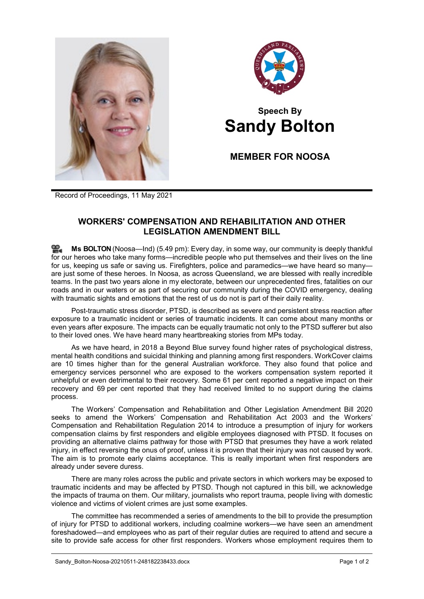



## **Speech By Sandy Bolton**

**MEMBER FOR NOOSA**

Record of Proceedings, 11 May 2021

## **WORKERS' COMPENSATION AND REHABILITATION AND OTHER LEGISLATION AMENDMENT BILL**

**Ms [BOLTON](http://www.parliament.qld.gov.au/docs/find.aspx?id=0Mba20210511_174922)** (Noosa—Ind) (5.49 pm): Every day, in some way, our community is deeply thankful for our heroes who take many forms—incredible people who put themselves and their lives on the line for us, keeping us safe or saving us. Firefighters, police and paramedics—we have heard so many are just some of these heroes. In Noosa, as across Queensland, we are blessed with really incredible teams. In the past two years alone in my electorate, between our unprecedented fires, fatalities on our roads and in our waters or as part of securing our community during the COVID emergency, dealing with traumatic sights and emotions that the rest of us do not is part of their daily reality.

Post-traumatic stress disorder, PTSD, is described as severe and persistent stress reaction after exposure to a traumatic incident or series of traumatic incidents. It can come about many months or even years after exposure. The impacts can be equally traumatic not only to the PTSD sufferer but also to their loved ones. We have heard many heartbreaking stories from MPs today.

As we have heard, in 2018 a Beyond Blue survey found higher rates of psychological distress, mental health conditions and suicidal thinking and planning among first responders. WorkCover claims are 10 times higher than for the general Australian workforce. They also found that police and emergency services personnel who are exposed to the workers compensation system reported it unhelpful or even detrimental to their recovery. Some 61 per cent reported a negative impact on their recovery and 69 per cent reported that they had received limited to no support during the claims process.

The Workers' Compensation and Rehabilitation and Other Legislation Amendment Bill 2020 seeks to amend the Workers' Compensation and Rehabilitation Act 2003 and the Workers' Compensation and Rehabilitation Regulation 2014 to introduce a presumption of injury for workers compensation claims by first responders and eligible employees diagnosed with PTSD. It focuses on providing an alternative claims pathway for those with PTSD that presumes they have a work related injury, in effect reversing the onus of proof, unless it is proven that their injury was not caused by work. The aim is to promote early claims acceptance. This is really important when first responders are already under severe duress.

There are many roles across the public and private sectors in which workers may be exposed to traumatic incidents and may be affected by PTSD. Though not captured in this bill, we acknowledge the impacts of trauma on them. Our military, journalists who report trauma, people living with domestic violence and victims of violent crimes are just some examples.

The committee has recommended a series of amendments to the bill to provide the presumption of injury for PTSD to additional workers, including coalmine workers—we have seen an amendment foreshadowed—and employees who as part of their regular duties are required to attend and secure a site to provide safe access for other first responders. Workers whose employment requires them to